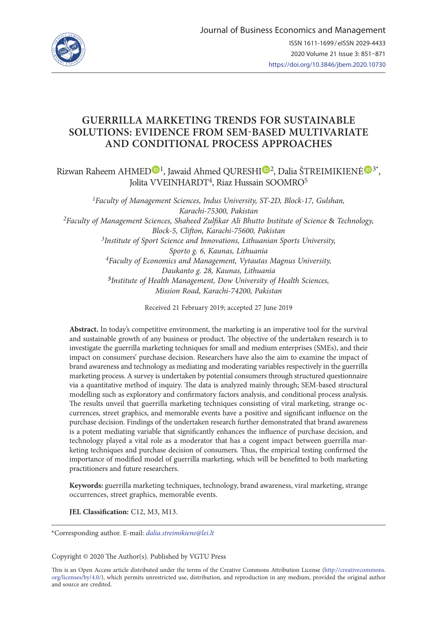

# **GUERRILLA MARKETING TRENDS FOR SUSTAINABLE SOLUTIONS: EVIDENCE FROM SEM-BASED MULTIVARIATE AND CONDITIONAL PROCESS APPROACHES**

Rizwan Raheem AHMED<sup>D1</sup>, Jawaid Ahmed QURESH[I](https://orcid.org/0000-0001-6380-5402)<sup>D2</sup>, Dalia ŠTREIMIKIENĖ<sup>D[3](https://orcid.org/0000-0002-3247-9912)\*</sup>, Jolita VVEINHARDT<sup>4</sup>, Riaz Hussain SOOMRO<sup>5</sup>

*1Faculty of Management Sciences, Indus University, ST-2D, Block-17, Gulshan, Karachi-75300, Pakistan 2Faculty of Management Sciences, Shaheed Zulfikar Ali Bhutto Institute of Science* & *Technology, Block-5, Clifton, Karachi-75600, Pakistan 3Institute of Sport Science and Innovations, Lithuanian Sports University, Sporto g. 6, Kaunas, Lithuania 4Faculty of Economics and Management, Vytautas Magnus University, Daukanto g. 28, Kaunas, Lithuania <sup>5</sup>Institute of Health Management, Dow University of Health Sciences, Mission Road, Karachi-74200, Pakistan*

Received 21 February 2019; accepted 27 June 2019

**Abstract.** In today's competitive environment, the marketing is an imperative tool for the survival and sustainable growth of any business or product. The objective of the undertaken research is to investigate the guerrilla marketing techniques for small and medium enterprises (SMEs), and their impact on consumers' purchase decision. Researchers have also the aim to examine the impact of brand awareness and technology as mediating and moderating variables respectively in the guerrilla marketing process. A survey is undertaken by potential consumers through structured questionnaire via a quantitative method of inquiry. The data is analyzed mainly through; SEM-based structural modelling such as exploratory and confirmatory factors analysis, and conditional process analysis. The results unveil that guerrilla marketing techniques consisting of viral marketing, strange occurrences, street graphics, and memorable events have a positive and significant influence on the purchase decision. Findings of the undertaken research further demonstrated that brand awareness is a potent mediating variable that significantly enhances the influence of purchase decision, and technology played a vital role as a moderator that has a cogent impact between guerrilla marketing techniques and purchase decision of consumers. Thus, the empirical testing confirmed the importance of modified model of guerrilla marketing, which will be benefitted to both marketing practitioners and future researchers.

**Keywords:** guerrilla marketing techniques, technology, brand awareness, viral marketing, strange occurrences, street graphics, memorable events.

**JEL Classification:** C12, M3, M13.

\*Corresponding author. E-mail: *[dalia.streimikiene@lei.lt](mailto:dalia.streimikiene@lei.lt)*

Copyright © 2020 The Author(s). Published by VGTU Press

This is an Open Access article distributed under the terms of the Creative Commons Attribution License ([http://creativecommons.](http://dx.doi.org/10.1016/S0377-2217(03)00091-2) [org/licenses/by/4.0/\)](http://dx.doi.org/10.1016/S0377-2217(03)00091-2), which permits unrestricted use, distribution, and reproduction in any medium, provided the original author and source are credited.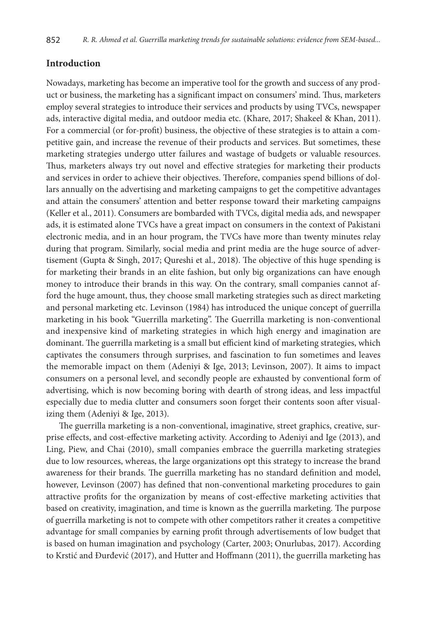## **Introduction**

Nowadays, marketing has become an imperative tool for the growth and success of any product or business, the marketing has a significant impact on consumers' mind. Thus, marketers employ several strategies to introduce their services and products by using TVCs, newspaper ads, interactive digital media, and outdoor media etc. (Khare, 2017; Shakeel & Khan, 2011). For a commercial (or for-profit) business, the objective of these strategies is to attain a competitive gain, and increase the revenue of their products and services. But sometimes, these marketing strategies undergo utter failures and wastage of budgets or valuable resources. Thus, marketers always try out novel and effective strategies for marketing their products and services in order to achieve their objectives. Therefore, companies spend billions of dollars annually on the advertising and marketing campaigns to get the competitive advantages and attain the consumers' attention and better response toward their marketing campaigns (Keller et al., 2011). Consumers are bombarded with TVCs, digital media ads, and newspaper ads, it is estimated alone TVCs have a great impact on consumers in the context of Pakistani electronic media, and in an hour program, the TVCs have more than twenty minutes relay during that program. Similarly, social media and print media are the huge source of advertisement (Gupta & Singh, 2017; Qureshi et al., 2018). The objective of this huge spending is for marketing their brands in an elite fashion, but only big organizations can have enough money to introduce their brands in this way. On the contrary, small companies cannot afford the huge amount, thus, they choose small marketing strategies such as direct marketing and personal marketing etc. Levinson (1984) has introduced the unique concept of guerrilla marketing in his book "Guerrilla marketing". The Guerrilla marketing is non-conventional and inexpensive kind of marketing strategies in which high energy and imagination are dominant. The guerrilla marketing is a small but efficient kind of marketing strategies, which captivates the consumers through surprises, and fascination to fun sometimes and leaves the memorable impact on them (Adeniyi & Ige, 2013; Levinson, 2007). It aims to impact consumers on a personal level, and secondly people are exhausted by conventional form of advertising, which is now becoming boring with dearth of strong ideas, and less impactful especially due to media clutter and consumers soon forget their contents soon after visualizing them (Adeniyi & Ige, 2013).

The guerrilla marketing is a non-conventional, imaginative, street graphics, creative, surprise effects, and cost-effective marketing activity. According to Adeniyi and Ige (2013), and Ling, Piew, and Chai (2010), small companies embrace the guerrilla marketing strategies due to low resources, whereas, the large organizations opt this strategy to increase the brand awareness for their brands. The guerrilla marketing has no standard definition and model, however, Levinson (2007) has defined that non-conventional marketing procedures to gain attractive profits for the organization by means of cost-effective marketing activities that based on creativity, imagination, and time is known as the guerrilla marketing. The purpose of guerrilla marketing is not to compete with other competitors rather it creates a competitive advantage for small companies by earning profit through advertisements of low budget that is based on human imagination and psychology (Carter, 2003; Onurlubas, 2017). According to Krstić and Đurđević (2017), and Hutter and Hoffmann (2011), the guerrilla marketing has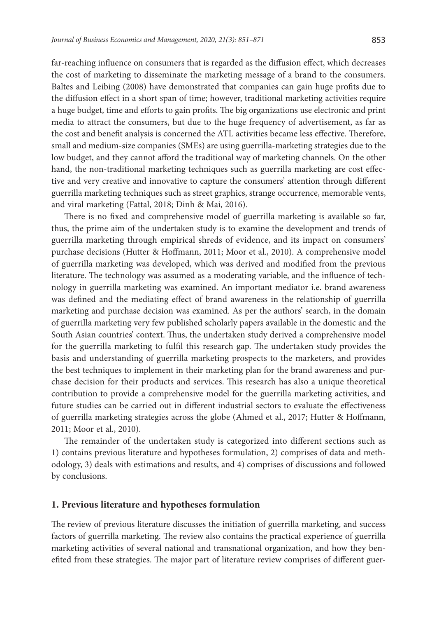far-reaching influence on consumers that is regarded as the diffusion effect, which decreases the cost of marketing to disseminate the marketing message of a brand to the consumers. Baltes and Leibing (2008) have demonstrated that companies can gain huge profits due to the diffusion effect in a short span of time; however, traditional marketing activities require a huge budget, time and efforts to gain profits. The big organizations use electronic and print media to attract the consumers, but due to the huge frequency of advertisement, as far as the cost and benefit analysis is concerned the ATL activities became less effective. Therefore, small and medium-size companies (SMEs) are using guerrilla-marketing strategies due to the low budget, and they cannot afford the traditional way of marketing channels. On the other hand, the non-traditional marketing techniques such as guerrilla marketing are cost effective and very creative and innovative to capture the consumers' attention through different guerrilla marketing techniques such as street graphics, strange occurrence, memorable vents, and viral marketing (Fattal, 2018; Dinh & Mai, 2016).

There is no fixed and comprehensive model of guerrilla marketing is available so far, thus, the prime aim of the undertaken study is to examine the development and trends of guerrilla marketing through empirical shreds of evidence, and its impact on consumers' purchase decisions (Hutter & Hoffmann, 2011; Moor et al., 2010). A comprehensive model of guerrilla marketing was developed, which was derived and modified from the previous literature. The technology was assumed as a moderating variable, and the influence of technology in guerrilla marketing was examined. An important mediator i.e. brand awareness was defined and the mediating effect of brand awareness in the relationship of guerrilla marketing and purchase decision was examined. As per the authors' search, in the domain of guerrilla marketing very few published scholarly papers available in the domestic and the South Asian countries' context. Thus, the undertaken study derived a comprehensive model for the guerrilla marketing to fulfil this research gap. The undertaken study provides the basis and understanding of guerrilla marketing prospects to the marketers, and provides the best techniques to implement in their marketing plan for the brand awareness and purchase decision for their products and services. This research has also a unique theoretical contribution to provide a comprehensive model for the guerrilla marketing activities, and future studies can be carried out in different industrial sectors to evaluate the effectiveness of guerrilla marketing strategies across the globe (Ahmed et al., 2017; Hutter & Hoffmann, 2011; Moor et al., 2010).

The remainder of the undertaken study is categorized into different sections such as 1) contains previous literature and hypotheses formulation, 2) comprises of data and methodology, 3) deals with estimations and results, and 4) comprises of discussions and followed by conclusions.

#### **1. Previous literature and hypotheses formulation**

The review of previous literature discusses the initiation of guerrilla marketing, and success factors of guerrilla marketing. The review also contains the practical experience of guerrilla marketing activities of several national and transnational organization, and how they benefited from these strategies. The major part of literature review comprises of different guer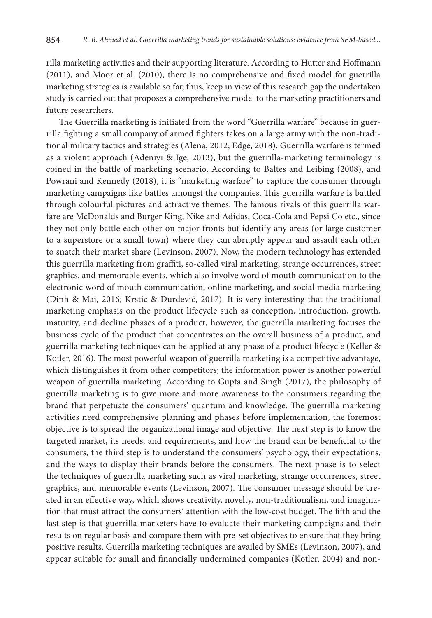rilla marketing activities and their supporting literature. According to Hutter and Hoffmann (2011), and Moor et al. (2010), there is no comprehensive and fixed model for guerrilla marketing strategies is available so far, thus, keep in view of this research gap the undertaken study is carried out that proposes a comprehensive model to the marketing practitioners and future researchers.

The Guerrilla marketing is initiated from the word "Guerrilla warfare" because in guerrilla fighting a small company of armed fighters takes on a large army with the non-traditional military tactics and strategies (Alena, 2012; Edge, 2018). Guerrilla warfare is termed as a violent approach (Adeniyi & Ige, 2013), but the guerrilla-marketing terminology is coined in the battle of marketing scenario. According to Baltes and Leibing (2008), and Powrani and Kennedy (2018), it is "marketing warfare" to capture the consumer through marketing campaigns like battles amongst the companies. This guerrilla warfare is battled through colourful pictures and attractive themes. The famous rivals of this guerrilla warfare are McDonalds and Burger King, Nike and Adidas, Coca-Cola and Pepsi Co etc., since they not only battle each other on major fronts but identify any areas (or large customer to a superstore or a small town) where they can abruptly appear and assault each other to snatch their market share (Levinson, 2007). Now, the modern technology has extended this guerrilla marketing from graffiti, so-called viral marketing, strange occurrences, street graphics, and memorable events, which also involve word of mouth communication to the electronic word of mouth communication, online marketing, and social media marketing (Dinh & Mai, 2016; Krstić & Đurđević, 2017). It is very interesting that the traditional marketing emphasis on the product lifecycle such as conception, introduction, growth, maturity, and decline phases of a product, however, the guerrilla marketing focuses the business cycle of the product that concentrates on the overall business of a product, and guerrilla marketing techniques can be applied at any phase of a product lifecycle (Keller & Kotler, 2016). The most powerful weapon of guerrilla marketing is a competitive advantage, which distinguishes it from other competitors; the information power is another powerful weapon of guerrilla marketing. According to Gupta and Singh (2017), the philosophy of guerrilla marketing is to give more and more awareness to the consumers regarding the brand that perpetuate the consumers' quantum and knowledge. The guerrilla marketing activities need comprehensive planning and phases before implementation, the foremost objective is to spread the organizational image and objective. The next step is to know the targeted market, its needs, and requirements, and how the brand can be beneficial to the consumers, the third step is to understand the consumers' psychology, their expectations, and the ways to display their brands before the consumers. The next phase is to select the techniques of guerrilla marketing such as viral marketing, strange occurrences, street graphics, and memorable events (Levinson, 2007). The consumer message should be created in an effective way, which shows creativity, novelty, non-traditionalism, and imagination that must attract the consumers' attention with the low-cost budget. The fifth and the last step is that guerrilla marketers have to evaluate their marketing campaigns and their results on regular basis and compare them with pre-set objectives to ensure that they bring positive results. Guerrilla marketing techniques are availed by SMEs (Levinson, 2007), and appear suitable for small and financially undermined companies (Kotler, 2004) and non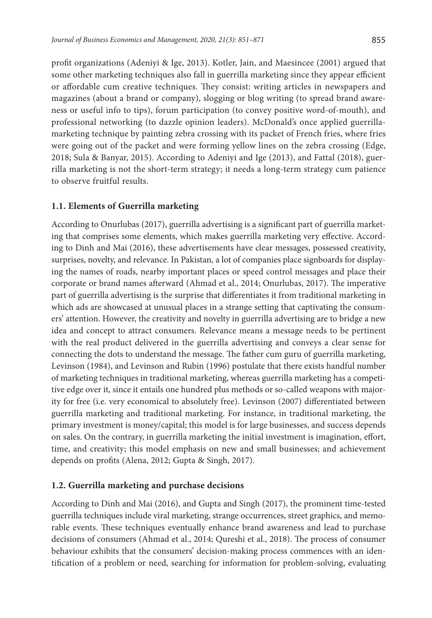profit organizations (Adeniyi & Ige, 2013). Kotler, Jain, and Maesincee (2001) argued that some other marketing techniques also fall in guerrilla marketing since they appear efficient or affordable cum creative techniques. They consist: writing articles in newspapers and magazines (about a brand or company), slogging or blog writing (to spread brand awareness or useful info to tips), forum participation (to convey positive word-of-mouth), and professional networking (to dazzle opinion leaders). McDonald's once applied guerrillamarketing technique by painting zebra crossing with its packet of French fries, where fries were going out of the packet and were forming yellow lines on the zebra crossing (Edge, 2018; Sula & Banyar, 2015). According to Adeniyi and Ige (2013), and Fattal (2018), guerrilla marketing is not the short-term strategy; it needs a long-term strategy cum patience to observe fruitful results.

#### **1.1. Elements of Guerrilla marketing**

According to Onurlubas (2017), guerrilla advertising is a significant part of guerrilla marketing that comprises some elements, which makes guerrilla marketing very effective. According to Dinh and Mai (2016), these advertisements have clear messages, possessed creativity, surprises, novelty, and relevance. In Pakistan, a lot of companies place signboards for displaying the names of roads, nearby important places or speed control messages and place their corporate or brand names afterward (Ahmad et al., 2014; Onurlubas, 2017). The imperative part of guerrilla advertising is the surprise that differentiates it from traditional marketing in which ads are showcased at unusual places in a strange setting that captivating the consumers' attention. However, the creativity and novelty in guerrilla advertising are to bridge a new idea and concept to attract consumers. Relevance means a message needs to be pertinent with the real product delivered in the guerrilla advertising and conveys a clear sense for connecting the dots to understand the message. The father cum guru of guerrilla marketing, Levinson (1984), and Levinson and Rubin (1996) postulate that there exists handful number of marketing techniques in traditional marketing, whereas guerrilla marketing has a competitive edge over it, since it entails one hundred plus methods or so-called weapons with majority for free (i.e. very economical to absolutely free). Levinson (2007) differentiated between guerrilla marketing and traditional marketing. For instance, in traditional marketing, the primary investment is money/capital; this model is for large businesses, and success depends on sales. On the contrary, in guerrilla marketing the initial investment is imagination, effort, time, and creativity; this model emphasis on new and small businesses; and achievement depends on profits (Alena, 2012; Gupta & Singh, 2017).

#### **1.2. Guerrilla marketing and purchase decisions**

According to Dinh and Mai (2016), and Gupta and Singh (2017), the prominent time-tested guerrilla techniques include viral marketing, strange occurrences, street graphics, and memorable events. These techniques eventually enhance brand awareness and lead to purchase decisions of consumers (Ahmad et al., 2014; Qureshi et al., 2018). The process of consumer behaviour exhibits that the consumers' decision-making process commences with an identification of a problem or need, searching for information for problem-solving, evaluating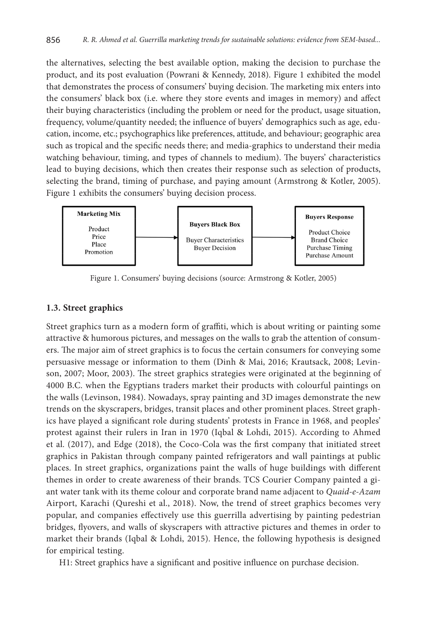the alternatives, selecting the best available option, making the decision to purchase the product, and its post evaluation (Powrani & Kennedy, 2018). Figure 1 exhibited the model that demonstrates the process of consumers' buying decision. The marketing mix enters into the consumers' black box (i.e. where they store events and images in memory) and affect their buying characteristics (including the problem or need for the product, usage situation, frequency, volume/quantity needed; the influence of buyers' demographics such as age, education, income, etc.; psychographics like preferences, attitude, and behaviour; geographic area such as tropical and the specific needs there; and media-graphics to understand their media watching behaviour, timing, and types of channels to medium). The buyers' characteristics lead to buying decisions, which then creates their response such as selection of products, selecting the brand, timing of purchase, and paying amount (Armstrong & Kotler, 2005). Figure 1 exhibits the consumers' buying decision process.



Figure 1. Consumers' buying decisions (source: Armstrong & Kotler, 2005)

## **1.3. Street graphics**

Street graphics turn as a modern form of graffiti, which is about writing or painting some attractive & humorous pictures, and messages on the walls to grab the attention of consumers. The major aim of street graphics is to focus the certain consumers for conveying some persuasive message or information to them (Dinh & Mai, 2016; Krautsack, 2008; Levinson, 2007; Moor, 2003). The street graphics strategies were originated at the beginning of 4000 B.C. when the Egyptians traders market their products with colourful paintings on the walls (Levinson, 1984). Nowadays, spray painting and 3D images demonstrate the new trends on the skyscrapers, bridges, transit places and other prominent places. Street graphics have played a significant role during students' protests in France in 1968, and peoples' protest against their rulers in Iran in 1970 (Iqbal & Lohdi, 2015). According to Ahmed et al. (2017), and Edge (2018), the Coco-Cola was the first company that initiated street graphics in Pakistan through company painted refrigerators and wall paintings at public places. In street graphics, organizations paint the walls of huge buildings with different themes in order to create awareness of their brands. TCS Courier Company painted a giant water tank with its theme colour and corporate brand name adjacent to *Quaid-e-Azam* Airport, Karachi (Qureshi et al., 2018). Now, the trend of street graphics becomes very popular, and companies effectively use this guerrilla advertising by painting pedestrian bridges, flyovers, and walls of skyscrapers with attractive pictures and themes in order to market their brands (Iqbal & Lohdi, 2015). Hence, the following hypothesis is designed for empirical testing.

H1: Street graphics have a significant and positive influence on purchase decision.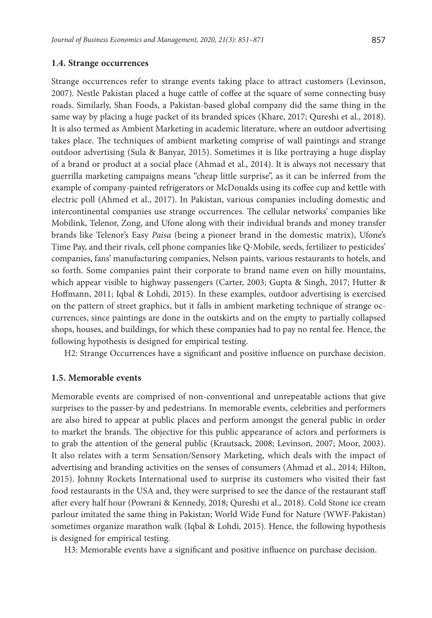#### **1.4. Strange occurrences**

Strange occurrences refer to strange events taking place to attract customers (Levinson, 2007). Nestle Pakistan placed a huge cattle of coffee at the square of some connecting busy roads. Similarly, Shan Foods, a Pakistan-based global company did the same thing in the same way by placing a huge packet of its branded spices (Khare, 2017; Qureshi et al., 2018). It is also termed as Ambient Marketing in academic literature, where an outdoor advertising takes place. The techniques of ambient marketing comprise of wall paintings and strange outdoor advertising (Sula & Banyar, 2015). Sometimes it is like portraying a huge display of a brand or product at a social place (Ahmad et al., 2014). It is always not necessary that guerrilla marketing campaigns means "cheap little surprise", as it can be inferred from the example of company-painted refrigerators or McDonalds using its coffee cup and kettle with electric poll (Ahmed et al., 2017). In Pakistan, various companies including domestic and intercontinental companies use strange occurrences. The cellular networks' companies like Mobilink, Telenor, Zong, and Ufone along with their individual brands and money transfer brands like Telenor's Easy *Paisa* (being a pioneer brand in the domestic matrix), Ufone's Time Pay, and their rivals, cell phone companies like Q-Mobile, seeds, fertilizer to pesticides' companies, fans' manufacturing companies, Nelson paints, various restaurants to hotels, and so forth. Some companies paint their corporate to brand name even on hilly mountains, which appear visible to highway passengers (Carter, 2003; Gupta & Singh, 2017; Hutter & Hoffmann, 2011; Iqbal & Lohdi, 2015). In these examples, outdoor advertising is exercised on the pattern of street graphics, but it falls in ambient marketing technique of strange occurrences, since paintings are done in the outskirts and on the empty to partially collapsed shops, houses, and buildings, for which these companies had to pay no rental fee. Hence, the following hypothesis is designed for empirical testing.

H2: Strange Occurrences have a significant and positive influence on purchase decision.

#### **1.5. Memorable events**

Memorable events are comprised of non-conventional and unrepeatable actions that give surprises to the passer-by and pedestrians. In memorable events, celebrities and performers are also hired to appear at public places and perform amongst the general public in order to market the brands. The objective for this public appearance of actors and performers is to grab the attention of the general public (Krautsack, 2008; Levinson, 2007; Moor, 2003). It also relates with a term Sensation/Sensory Marketing, which deals with the impact of advertising and branding activities on the senses of consumers (Ahmad et al., 2014; Hilton, 2015). Johnny Rockets International used to surprise its customers who visited their fast food restaurants in the USA and, they were surprised to see the dance of the restaurant staff after every half hour (Powrani & Kennedy, 2018; Qureshi et al., 2018). Cold Stone ice cream parlour imitated the same thing in Pakistan; World Wide Fund for Nature (WWF-Pakistan) sometimes organize marathon walk (Iqbal & Lohdi, 2015). Hence, the following hypothesis is designed for empirical testing.

H3: Memorable events have a significant and positive influence on purchase decision.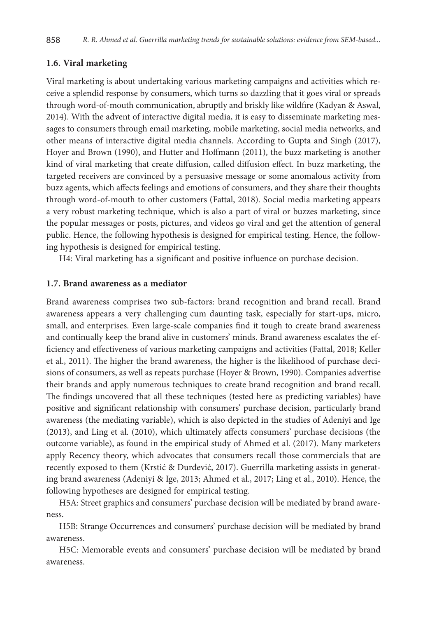### **1.6. Viral marketing**

Viral marketing is about undertaking various marketing campaigns and activities which receive a splendid response by consumers, which turns so dazzling that it goes viral or spreads through word-of-mouth communication, abruptly and briskly like wildfire (Kadyan & Aswal, 2014). With the advent of interactive digital media, it is easy to disseminate marketing messages to consumers through email marketing, mobile marketing, social media networks, and other means of interactive digital media channels. According to Gupta and Singh (2017), Hoyer and Brown (1990), and Hutter and Hoffmann (2011), the buzz marketing is another kind of viral marketing that create diffusion, called diffusion effect. In buzz marketing, the targeted receivers are convinced by a persuasive message or some anomalous activity from buzz agents, which affects feelings and emotions of consumers, and they share their thoughts through word-of-mouth to other customers (Fattal, 2018). Social media marketing appears a very robust marketing technique, which is also a part of viral or buzzes marketing, since the popular messages or posts, pictures, and videos go viral and get the attention of general public. Hence, the following hypothesis is designed for empirical testing. Hence, the following hypothesis is designed for empirical testing.

H4: Viral marketing has a significant and positive influence on purchase decision.

### **1.7. Brand awareness as a mediator**

Brand awareness comprises two sub-factors: brand recognition and brand recall. Brand awareness appears a very challenging cum daunting task, especially for start-ups, micro, small, and enterprises. Even large-scale companies find it tough to create brand awareness and continually keep the brand alive in customers' minds. Brand awareness escalates the efficiency and effectiveness of various marketing campaigns and activities (Fattal, 2018; Keller et al., 2011). The higher the brand awareness, the higher is the likelihood of purchase decisions of consumers, as well as repeats purchase (Hoyer & Brown, 1990). Companies advertise their brands and apply numerous techniques to create brand recognition and brand recall. The findings uncovered that all these techniques (tested here as predicting variables) have positive and significant relationship with consumers' purchase decision, particularly brand awareness (the mediating variable), which is also depicted in the studies of Adeniyi and Ige (2013), and Ling et al. (2010), which ultimately affects consumers' purchase decisions (the outcome variable), as found in the empirical study of Ahmed et al. (2017). Many marketers apply Recency theory, which advocates that consumers recall those commercials that are recently exposed to them (Krstić & Đurđević, 2017). Guerrilla marketing assists in generating brand awareness (Adeniyi & Ige, 2013; Ahmed et al., 2017; Ling et al., 2010). Hence, the following hypotheses are designed for empirical testing.

H5A: Street graphics and consumers' purchase decision will be mediated by brand awareness.

H5B: Strange Occurrences and consumers' purchase decision will be mediated by brand awareness.

H5C: Memorable events and consumers' purchase decision will be mediated by brand awareness.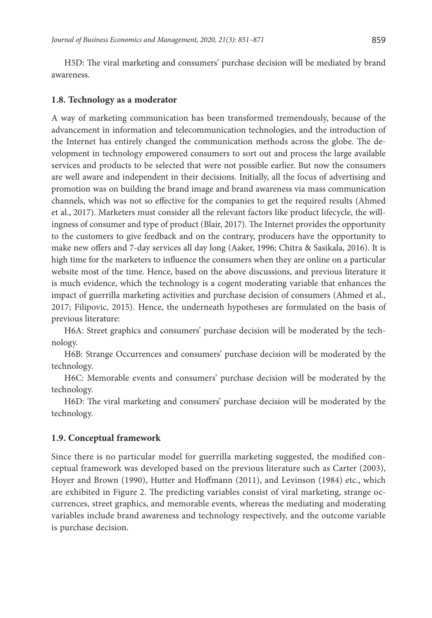H5D: The viral marketing and consumers' purchase decision will be mediated by brand awareness.

### **1.8. Technology as a moderator**

A way of marketing communication has been transformed tremendously, because of the advancement in information and telecommunication technologies, and the introduction of the Internet has entirely changed the communication methods across the globe. The development in technology empowered consumers to sort out and process the large available services and products to be selected that were not possible earlier. But now the consumers are well aware and independent in their decisions. Initially, all the focus of advertising and promotion was on building the brand image and brand awareness via mass communication channels, which was not so effective for the companies to get the required results (Ahmed et al., 2017). Marketers must consider all the relevant factors like product lifecycle, the willingness of consumer and type of product (Blair, 2017). The Internet provides the opportunity to the customers to give feedback and on the contrary, producers have the opportunity to make new offers and 7-day services all day long (Aaker, 1996; Chitra & Sasikala, 2016). It is high time for the marketers to influence the consumers when they are online on a particular website most of the time. Hence, based on the above discussions, and previous literature it is much evidence, which the technology is a cogent moderating variable that enhances the impact of guerrilla marketing activities and purchase decision of consumers (Ahmed et al., 2017; Filipovic, 2015). Hence, the underneath hypotheses are formulated on the basis of previous literature:

H6A: Street graphics and consumers' purchase decision will be moderated by the technology.

H6B: Strange Occurrences and consumers' purchase decision will be moderated by the technology.

H6C: Memorable events and consumers' purchase decision will be moderated by the technology.

H6D: The viral marketing and consumers' purchase decision will be moderated by the technology.

## **1.9. Conceptual framework**

Since there is no particular model for guerrilla marketing suggested, the modified conceptual framework was developed based on the previous literature such as Carter (2003), Hoyer and Brown (1990), Hutter and Hoffmann (2011), and Levinson (1984) etc., which are exhibited in Figure 2. The predicting variables consist of viral marketing, strange occurrences, street graphics, and memorable events, whereas the mediating and moderating variables include brand awareness and technology respectively, and the outcome variable is purchase decision.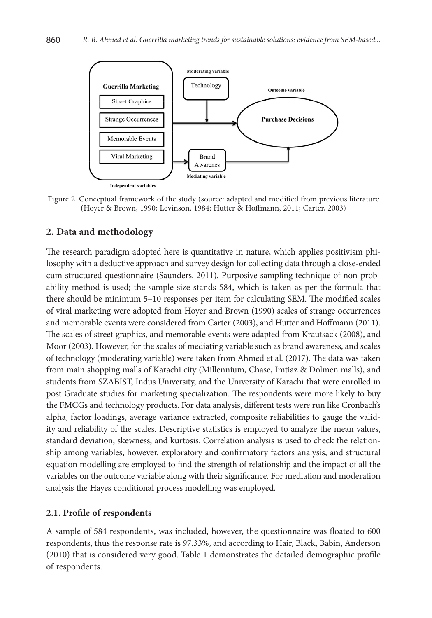

Figure 2. Conceptual framework of the study (source: adapted and modified from previous literature (Hoyer & Brown, 1990; Levinson, 1984; Hutter & Hoffmann, 2011; Carter, 2003)

# **2. Data and methodology**

The research paradigm adopted here is quantitative in nature, which applies positivism philosophy with a deductive approach and survey design for collecting data through a close-ended cum structured questionnaire (Saunders, 2011). Purposive sampling technique of non-probability method is used; the sample size stands 584, which is taken as per the formula that there should be minimum 5–10 responses per item for calculating SEM. The modified scales of viral marketing were adopted from Hoyer and Brown (1990) scales of strange occurrences and memorable events were considered from Carter (2003), and Hutter and Hoffmann (2011). The scales of street graphics, and memorable events were adapted from Krautsack (2008), and Moor (2003). However, for the scales of mediating variable such as brand awareness, and scales of technology (moderating variable) were taken from Ahmed et al. (2017). The data was taken from main shopping malls of Karachi city (Millennium, Chase, Imtiaz & Dolmen malls), and students from SZABIST, Indus University, and the University of Karachi that were enrolled in post Graduate studies for marketing specialization. The respondents were more likely to buy the FMCGs and technology products. For data analysis, different tests were run like Cronbach's alpha, factor loadings, average variance extracted, composite reliabilities to gauge the validity and reliability of the scales. Descriptive statistics is employed to analyze the mean values, standard deviation, skewness, and kurtosis. Correlation analysis is used to check the relationship among variables, however, exploratory and confirmatory factors analysis, and structural equation modelling are employed to find the strength of relationship and the impact of all the variables on the outcome variable along with their significance. For mediation and moderation analysis the Hayes conditional process modelling was employed.

## **2.1. Profile of respondents**

A sample of 584 respondents, was included, however, the questionnaire was floated to 600 respondents, thus the response rate is 97.33%, and according to Hair, Black, Babin, Anderson (2010) that is considered very good. Table 1 demonstrates the detailed demographic profile of respondents.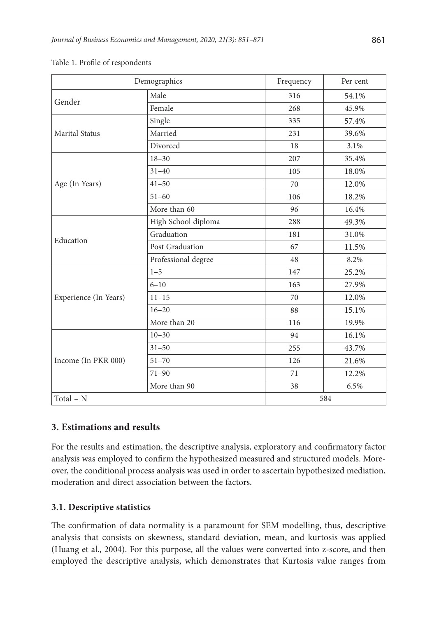| Demographics          | Frequency           | Per cent |       |
|-----------------------|---------------------|----------|-------|
| Gender                | Male                | 316      | 54.1% |
|                       | Female              | 268      | 45.9% |
|                       | Single              | 335      | 57.4% |
| <b>Marital Status</b> | Married             | 231      | 39.6% |
|                       | Divorced            | 18       | 3.1%  |
|                       | $18 - 30$           | 207      | 35.4% |
|                       | $31 - 40$           | 105      | 18.0% |
| Age (In Years)        | $41 - 50$           | 70       | 12.0% |
|                       | $51 - 60$           | 106      | 18.2% |
|                       | More than 60        | 96       | 16.4% |
|                       | High School diploma | 288      | 49.3% |
| Education             | Graduation          | 181      | 31.0% |
|                       | Post Graduation     | 67       | 11.5% |
|                       | Professional degree | 48       | 8.2%  |
|                       | $1 - 5$             | 147      | 25.2% |
|                       | $6 - 10$            | 163      | 27.9% |
| Experience (In Years) | $11 - 15$           | 70       | 12.0% |
|                       | $16 - 20$           | 88       | 15.1% |
|                       | More than 20        | 116      | 19.9% |
|                       | $10 - 30$           | 94       | 16.1% |
|                       | $31 - 50$           | 255      | 43.7% |
| Income (In PKR 000)   | $51 - 70$           | 126      | 21.6% |
|                       | $71 - 90$           | 71       | 12.2% |
|                       | More than 90        | 38       | 6.5%  |
| Total - N             |                     | 584      |       |

Table 1. Profile of respondents

## **3. Estimations and results**

For the results and estimation, the descriptive analysis, exploratory and confirmatory factor analysis was employed to confirm the hypothesized measured and structured models. Moreover, the conditional process analysis was used in order to ascertain hypothesized mediation, moderation and direct association between the factors.

## **3.1. Descriptive statistics**

The confirmation of data normality is a paramount for SEM modelling, thus, descriptive analysis that consists on skewness, standard deviation, mean, and kurtosis was applied (Huang et al., 2004). For this purpose, all the values were converted into z-score, and then employed the descriptive analysis, which demonstrates that Kurtosis value ranges from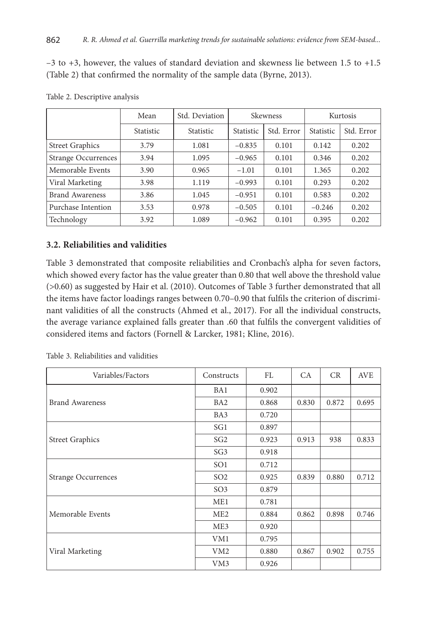–3 to +3, however, the values of standard deviation and skewness lie between 1.5 to +1.5 (Table 2) that confirmed the normality of the sample data (Byrne, 2013).

|                            | Mean             | Std. Deviation   | Skewness         |            |           | Kurtosis   |
|----------------------------|------------------|------------------|------------------|------------|-----------|------------|
|                            | <b>Statistic</b> | <b>Statistic</b> | <b>Statistic</b> | Std. Error | Statistic | Std. Error |
| <b>Street Graphics</b>     | 3.79             | 1.081            | $-0.835$         | 0.101      | 0.142     | 0.202      |
| <b>Strange Occurrences</b> | 3.94             | 1.095            | $-0.965$         | 0.101      | 0.346     | 0.202      |
| Memorable Events           | 3.90             | 0.965            | $-1.01$          | 0.101      | 1.365     | 0.202      |
| Viral Marketing            | 3.98             | 1.119            | $-0.993$         | 0.101      | 0.293     | 0.202      |
| Brand Awareness            | 3.86             | 1.045            | $-0.951$         | 0.101      | 0.583     | 0.202      |
| Purchase Intention         | 3.53             | 0.978            | $-0.505$         | 0.101      | $-0.246$  | 0.202      |
| Technology                 | 3.92             | 1.089            | $-0.962$         | 0.101      | 0.395     | 0.202      |

Table 2. Descriptive analysis

## **3.2. Reliabilities and validities**

Table 3 demonstrated that composite reliabilities and Cronbach's alpha for seven factors, which showed every factor has the value greater than 0.80 that well above the threshold value (>0.60) as suggested by Hair et al. (2010). Outcomes of Table 3 further demonstrated that all the items have factor loadings ranges between 0.70–0.90 that fulfils the criterion of discriminant validities of all the constructs (Ahmed et al., 2017). For all the individual constructs, the average variance explained falls greater than .60 that fulfils the convergent validities of considered items and factors (Fornell & Larcker, 1981; Kline, 2016).

| Variables/Factors      | Constructs      | FL    | CA    | CR    | AVE   |
|------------------------|-----------------|-------|-------|-------|-------|
|                        | BA1             | 0.902 |       |       |       |
| <b>Brand Awareness</b> | BA <sub>2</sub> | 0.868 | 0.830 | 0.872 | 0.695 |
|                        | BA3             | 0.720 |       |       |       |
|                        | SG1             | 0.897 |       |       |       |
| <b>Street Graphics</b> | SG <sub>2</sub> | 0.923 | 0.913 | 938   | 0.833 |
|                        | SG <sub>3</sub> | 0.918 |       |       |       |
|                        | SO <sub>1</sub> | 0.712 |       |       |       |
| Strange Occurrences    | SO <sub>2</sub> | 0.925 | 0.839 | 0.880 | 0.712 |
|                        | SO <sub>3</sub> | 0.879 |       |       |       |
|                        | ME1             | 0.781 |       |       |       |
| Memorable Events       | ME <sub>2</sub> | 0.884 | 0.862 | 0.898 | 0.746 |
|                        | ME3             | 0.920 |       |       |       |
|                        | VM1             | 0.795 |       |       |       |
| Viral Marketing        | VM <sub>2</sub> | 0.880 | 0.867 | 0.902 | 0.755 |
|                        | VM3             | 0.926 |       |       |       |

Table 3. Reliabilities and validities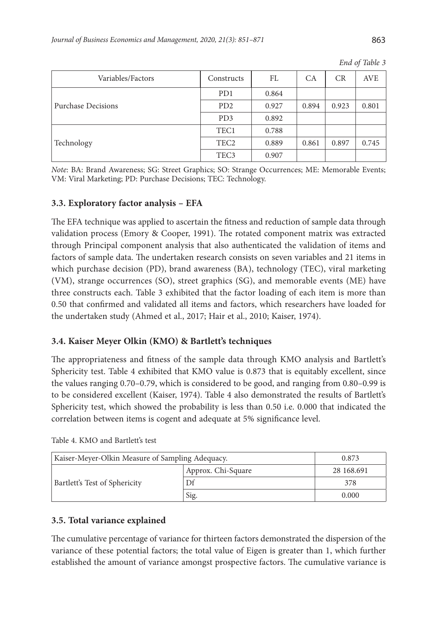| Variables/Factors  | Constructs                  | FL    | СA    | <b>CR</b> | <b>AVE</b> |
|--------------------|-----------------------------|-------|-------|-----------|------------|
|                    | P <sub>D</sub> 1            | 0.864 |       |           |            |
| Purchase Decisions | P <sub>D</sub> <sub>2</sub> | 0.927 | 0.894 | 0.923     | 0.801      |
|                    | PD <sub>3</sub>             | 0.892 |       |           |            |
|                    | TEC1                        | 0.788 |       |           |            |
| Technology         | TEC <sub>2</sub>            | 0.889 | 0.861 | 0.897     | 0.745      |
|                    | TEC <sub>3</sub>            | 0.907 |       |           |            |

*End of Table 3*

*Note*: BA: Brand Awareness; SG: Street Graphics; SO: Strange Occurrences; ME: Memorable Events; VM: Viral Marketing; PD: Purchase Decisions; TEC: Technology.

## **3.3. Exploratory factor analysis – EFA**

The EFA technique was applied to ascertain the fitness and reduction of sample data through validation process (Emory & Cooper, 1991). The rotated component matrix was extracted through Principal component analysis that also authenticated the validation of items and factors of sample data. The undertaken research consists on seven variables and 21 items in which purchase decision (PD), brand awareness (BA), technology (TEC), viral marketing (VM), strange occurrences (SO), street graphics (SG), and memorable events (ME) have three constructs each. Table 3 exhibited that the factor loading of each item is more than 0.50 that confirmed and validated all items and factors, which researchers have loaded for the undertaken study (Ahmed et al., 2017; Hair et al., 2010; Kaiser, 1974).

## **3.4. Kaiser Meyer Olkin (KMO) & Bartlett's techniques**

The appropriateness and fitness of the sample data through KMO analysis and Bartlett's Sphericity test. Table 4 exhibited that KMO value is 0.873 that is equitably excellent, since the values ranging 0.70–0.79, which is considered to be good, and ranging from 0.80–0.99 is to be considered excellent (Kaiser, 1974). Table 4 also demonstrated the results of Bartlett's Sphericity test, which showed the probability is less than 0.50 i.e. 0.000 that indicated the correlation between items is cogent and adequate at 5% significance level.

| Kaiser-Meyer-Olkin Measure of Sampling Adequacy. | 0.873              |            |
|--------------------------------------------------|--------------------|------------|
| <b>Bartlett's Test of Sphericity</b>             | Approx. Chi-Square | 28 168,691 |
|                                                  |                    | 378        |
|                                                  | Sig.               | 0.000      |

Table 4. KMO and Bartlett's test

## **3.5. Total variance explained**

The cumulative percentage of variance for thirteen factors demonstrated the dispersion of the variance of these potential factors; the total value of Eigen is greater than 1, which further established the amount of variance amongst prospective factors. The cumulative variance is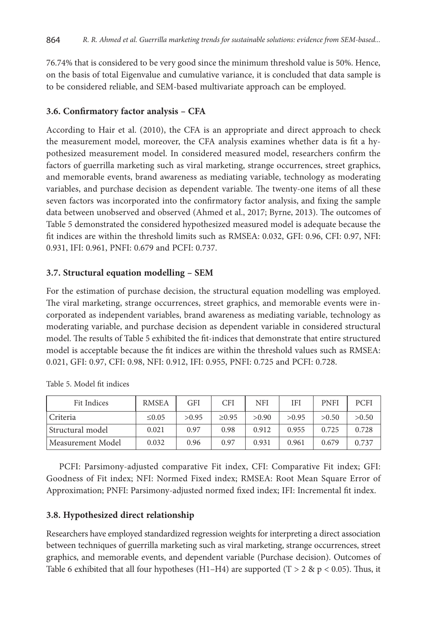76.74% that is considered to be very good since the minimum threshold value is 50%. Hence, on the basis of total Eigenvalue and cumulative variance, it is concluded that data sample is to be considered reliable, and SEM-based multivariate approach can be employed.

## **3.6. Confirmatory factor analysis – CFA**

According to Hair et al. (2010), the CFA is an appropriate and direct approach to check the measurement model, moreover, the CFA analysis examines whether data is fit a hypothesized measurement model. In considered measured model, researchers confirm the factors of guerrilla marketing such as viral marketing, strange occurrences, street graphics, and memorable events, brand awareness as mediating variable, technology as moderating variables, and purchase decision as dependent variable. The twenty-one items of all these seven factors was incorporated into the confirmatory factor analysis, and fixing the sample data between unobserved and observed (Ahmed et al., 2017; Byrne, 2013). The outcomes of Table 5 demonstrated the considered hypothesized measured model is adequate because the fit indices are within the threshold limits such as RMSEA: 0.032, GFI: 0.96, CFI: 0.97, NFI: 0.931, IFI: 0.961, PNFI: 0.679 and PCFI: 0.737.

## **3.7. Structural equation modelling – SEM**

For the estimation of purchase decision, the structural equation modelling was employed. The viral marketing, strange occurrences, street graphics, and memorable events were incorporated as independent variables, brand awareness as mediating variable, technology as moderating variable, and purchase decision as dependent variable in considered structural model. The results of Table 5 exhibited the fit-indices that demonstrate that entire structured model is acceptable because the fit indices are within the threshold values such as RMSEA: 0.021, GFI: 0.97, CFI: 0.98, NFI: 0.912, IFI: 0.955, PNFI: 0.725 and PCFI: 0.728.

| Fit Indices       | <b>RMSEA</b> | <b>GFI</b> | CFI         | <b>NFI</b> | IFI   | <b>PNFI</b> | <b>PCFI</b> |
|-------------------|--------------|------------|-------------|------------|-------|-------------|-------------|
| Criteria          | $\leq 0.05$  | >0.95      | $\geq 0.95$ | > 0.90     | >0.95 | >0.50       | >0.50       |
| Structural model  | 0.021        | 0.97       | 0.98        | 0.912      | 0.955 | 0.725       | 0.728       |
| Measurement Model | 0.032        | 0.96       | 0.97        | 0.931      | 0.961 | 0.679       | 0.737       |

Table 5. Model fit indices

PCFI: Parsimony-adjusted comparative Fit index, CFI: Comparative Fit index; GFI: Goodness of Fit index; NFI: Normed Fixed index; RMSEA: Root Mean Square Error of Approximation; PNFI: Parsimony-adjusted normed fixed index; IFI: Incremental fit index.

## **3.8. Hypothesized direct relationship**

Researchers have employed standardized regression weights for interpreting a direct association between techniques of guerrilla marketing such as viral marketing, strange occurrences, street graphics, and memorable events, and dependent variable (Purchase decision). Outcomes of Table 6 exhibited that all four hypotheses (H1–H4) are supported (T > 2 & p < 0.05). Thus, it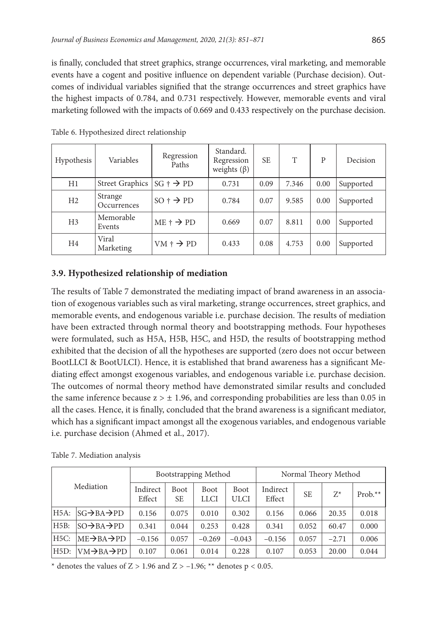is finally, concluded that street graphics, strange occurrences, viral marketing, and memorable events have a cogent and positive influence on dependent variable (Purchase decision). Outcomes of individual variables signified that the strange occurrences and street graphics have the highest impacts of 0.784, and 0.731 respectively. However, memorable events and viral marketing followed with the impacts of 0.669 and 0.433 respectively on the purchase decision.

| Hypothesis     | Variables              | Regression<br>Paths          | Standard.<br>Regression<br>weights $(\beta)$ | <b>SE</b> | T     | P    | Decision  |
|----------------|------------------------|------------------------------|----------------------------------------------|-----------|-------|------|-----------|
| H1             | <b>Street Graphics</b> | $SG + \rightarrow PD$        | 0.731                                        | 0.09      | 7.346 | 0.00 | Supported |
| H <sub>2</sub> | Strange<br>Occurrences | $SO \dagger \rightarrow PD$  | 0.784                                        | 0.07      | 9.585 | 0.00 | Supported |
| H <sub>3</sub> | Memorable<br>Events    | $ME \uparrow \rightarrow PD$ | 0.669                                        | 0.07      | 8.811 | 0.00 | Supported |
| H <sub>4</sub> | Viral<br>Marketing     | $VM \dagger \rightarrow PD$  | 0.433                                        | 0.08      | 4.753 | 0.00 | Supported |

Table 6. Hypothesized direct relationship

# **3.9. Hypothesized relationship of mediation**

The results of Table 7 demonstrated the mediating impact of brand awareness in an association of exogenous variables such as viral marketing, strange occurrences, street graphics, and memorable events, and endogenous variable i.e. purchase decision. The results of mediation have been extracted through normal theory and bootstrapping methods. Four hypotheses were formulated, such as H5A, H5B, H5C, and H5D, the results of bootstrapping method exhibited that the decision of all the hypotheses are supported (zero does not occur between BootLLCI & BootULCI). Hence, it is established that brand awareness has a significant Mediating effect amongst exogenous variables, and endogenous variable i.e. purchase decision. The outcomes of normal theory method have demonstrated similar results and concluded the same inference because  $z > \pm 1.96$ , and corresponding probabilities are less than 0.05 in all the cases. Hence, it is finally, concluded that the brand awareness is a significant mediator, which has a significant impact amongst all the exogenous variables, and endogenous variable i.e. purchase decision (Ahmed et al., 2017).

|                   | Bootstrapping Method               |                    |                          |                            | Normal Theory Method |                    |           |         |            |
|-------------------|------------------------------------|--------------------|--------------------------|----------------------------|----------------------|--------------------|-----------|---------|------------|
| Mediation         |                                    | Indirect<br>Effect | <b>Boot</b><br><b>SE</b> | <b>Boot</b><br><b>LLCI</b> | Boot<br>ULCI         | Indirect<br>Effect | <b>SE</b> | $Z^*$   | Prob. $**$ |
| H <sub>5</sub> A: | $SG \rightarrow BA \rightarrow PD$ | 0.156              | 0.075                    | 0.010                      | 0.302                | 0.156              | 0.066     | 20.35   | 0.018      |
| H5B:              | $SO \rightarrow BA \rightarrow PD$ | 0.341              | 0.044                    | 0.253                      | 0.428                | 0.341              | 0.052     | 60.47   | 0.000      |
| H5C:              | $ME \rightarrow BA \rightarrow PD$ | $-0.156$           | 0.057                    | $-0.269$                   | $-0.043$             | $-0.156$           | 0.057     | $-2.71$ | 0.006      |
| H5D:              | $VM \rightarrow BA \rightarrow PD$ | 0.107              | 0.061                    | 0.014                      | 0.228                | 0.107              | 0.053     | 20.00   | 0.044      |

Table 7. Mediation analysis

\* denotes the values of  $Z > 1.96$  and  $Z > -1.96$ ; \*\* denotes  $p < 0.05$ .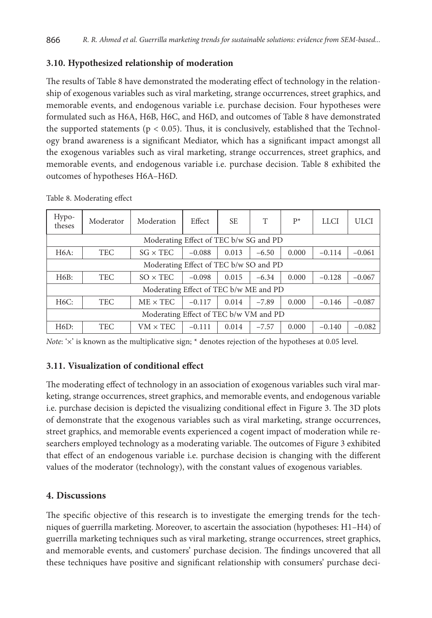## **3.10. Hypothesized relationship of moderation**

The results of Table 8 have demonstrated the moderating effect of technology in the relationship of exogenous variables such as viral marketing, strange occurrences, street graphics, and memorable events, and endogenous variable i.e. purchase decision. Four hypotheses were formulated such as H6A, H6B, H6C, and H6D, and outcomes of Table 8 have demonstrated the supported statements ( $p < 0.05$ ). Thus, it is conclusively, established that the Technology brand awareness is a significant Mediator, which has a significant impact amongst all the exogenous variables such as viral marketing, strange occurrences, street graphics, and memorable events, and endogenous variable i.e. purchase decision. Table 8 exhibited the outcomes of hypotheses H6A–H6D.

| Hypo-<br>theses                        | Moderator  | Moderation      | Effect   | SE.   | T       | $P^*$ | <b>LLCI</b> | ULCI     |
|----------------------------------------|------------|-----------------|----------|-------|---------|-------|-------------|----------|
| Moderating Effect of TEC b/w SG and PD |            |                 |          |       |         |       |             |          |
| <b>H6A:</b>                            | <b>TEC</b> | $SG \times TEC$ | $-0.088$ | 0.013 | $-6.50$ | 0.000 | $-0.114$    | $-0.061$ |
| Moderating Effect of TEC b/w SO and PD |            |                 |          |       |         |       |             |          |
| H6B:                                   | <b>TEC</b> | $SO \times TEC$ | $-0.098$ | 0.015 | $-6.34$ | 0.000 | $-0.128$    | $-0.067$ |
| Moderating Effect of TEC b/w ME and PD |            |                 |          |       |         |       |             |          |
| <b>H6C:</b>                            | <b>TEC</b> | $ME \times TEC$ | $-0.117$ | 0.014 | $-7.89$ | 0.000 | $-0.146$    | $-0.087$ |
| Moderating Effect of TEC b/w VM and PD |            |                 |          |       |         |       |             |          |
| H6D:                                   | TEC        | $VM \times TEC$ | $-0.111$ | 0.014 | $-7.57$ | 0.000 | $-0.140$    | $-0.082$ |

Table 8. Moderating effect

*Note*: ' $\times$ ' is known as the multiplicative sign; \* denotes rejection of the hypotheses at 0.05 level.

## **3.11. Visualization of conditional effect**

The moderating effect of technology in an association of exogenous variables such viral marketing, strange occurrences, street graphics, and memorable events, and endogenous variable i.e. purchase decision is depicted the visualizing conditional effect in Figure 3. The 3D plots of demonstrate that the exogenous variables such as viral marketing, strange occurrences, street graphics, and memorable events experienced a cogent impact of moderation while researchers employed technology as a moderating variable. The outcomes of Figure 3 exhibited that effect of an endogenous variable i.e. purchase decision is changing with the different values of the moderator (technology), with the constant values of exogenous variables.

## **4. Discussions**

The specific objective of this research is to investigate the emerging trends for the techniques of guerrilla marketing. Moreover, to ascertain the association (hypotheses: H1–H4) of guerrilla marketing techniques such as viral marketing, strange occurrences, street graphics, and memorable events, and customers' purchase decision. The findings uncovered that all these techniques have positive and significant relationship with consumers' purchase deci-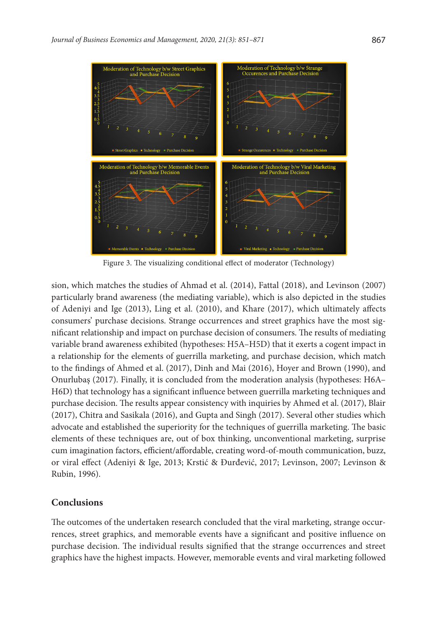

Figure 3. The visualizing conditional effect of moderator (Technology)

sion, which matches the studies of Ahmad et al. (2014), Fattal (2018), and Levinson (2007) particularly brand awareness (the mediating variable), which is also depicted in the studies of Adeniyi and Ige (2013), Ling et al. (2010), and Khare (2017), which ultimately affects consumers' purchase decisions. Strange occurrences and street graphics have the most significant relationship and impact on purchase decision of consumers. The results of mediating variable brand awareness exhibited (hypotheses: H5A–H5D) that it exerts a cogent impact in a relationship for the elements of guerrilla marketing, and purchase decision, which match to the findings of Ahmed et al. (2017), Dinh and Mai (2016), Hoyer and Brown (1990), and Onurlubaş (2017). Finally, it is concluded from the moderation analysis (hypotheses: H6A– H6D) that technology has a significant influence between guerrilla marketing techniques and purchase decision. The results appear consistency with inquiries by Ahmed et al. (2017), Blair (2017), Chitra and Sasikala (2016), and Gupta and Singh (2017). Several other studies which advocate and established the superiority for the techniques of guerrilla marketing. The basic elements of these techniques are, out of box thinking, unconventional marketing, surprise cum imagination factors, efficient/affordable, creating word-of-mouth communication, buzz, or viral effect (Adeniyi & Ige, 2013; Krstić & Đurđević, 2017; Levinson, 2007; Levinson & Rubin, 1996).

#### **Conclusions**

The outcomes of the undertaken research concluded that the viral marketing, strange occurrences, street graphics, and memorable events have a significant and positive influence on purchase decision. The individual results signified that the strange occurrences and street graphics have the highest impacts. However, memorable events and viral marketing followed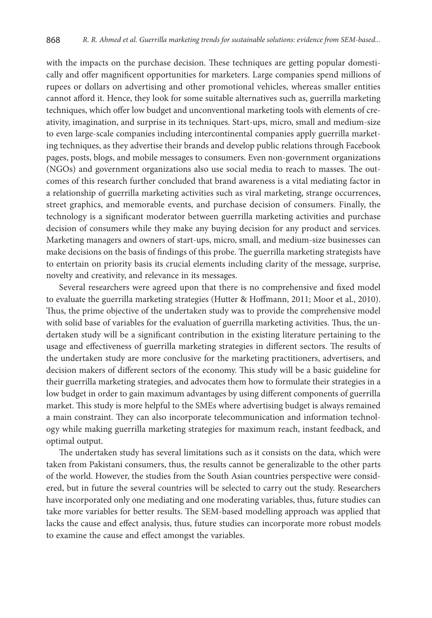with the impacts on the purchase decision. These techniques are getting popular domestically and offer magnificent opportunities for marketers. Large companies spend millions of rupees or dollars on advertising and other promotional vehicles, whereas smaller entities cannot afford it. Hence, they look for some suitable alternatives such as, guerrilla marketing techniques, which offer low budget and unconventional marketing tools with elements of creativity, imagination, and surprise in its techniques. Start-ups, micro, small and medium-size to even large-scale companies including intercontinental companies apply guerrilla marketing techniques, as they advertise their brands and develop public relations through Facebook pages, posts, blogs, and mobile messages to consumers. Even non-government organizations (NGOs) and government organizations also use social media to reach to masses. The outcomes of this research further concluded that brand awareness is a vital mediating factor in a relationship of guerrilla marketing activities such as viral marketing, strange occurrences, street graphics, and memorable events, and purchase decision of consumers. Finally, the technology is a significant moderator between guerrilla marketing activities and purchase decision of consumers while they make any buying decision for any product and services. Marketing managers and owners of start-ups, micro, small, and medium-size businesses can make decisions on the basis of findings of this probe. The guerrilla marketing strategists have to entertain on priority basis its crucial elements including clarity of the message, surprise, novelty and creativity, and relevance in its messages.

Several researchers were agreed upon that there is no comprehensive and fixed model to evaluate the guerrilla marketing strategies (Hutter & Hoffmann, 2011; Moor et al., 2010). Thus, the prime objective of the undertaken study was to provide the comprehensive model with solid base of variables for the evaluation of guerrilla marketing activities. Thus, the undertaken study will be a significant contribution in the existing literature pertaining to the usage and effectiveness of guerrilla marketing strategies in different sectors. The results of the undertaken study are more conclusive for the marketing practitioners, advertisers, and decision makers of different sectors of the economy. This study will be a basic guideline for their guerrilla marketing strategies, and advocates them how to formulate their strategies in a low budget in order to gain maximum advantages by using different components of guerrilla market. This study is more helpful to the SMEs where advertising budget is always remained a main constraint. They can also incorporate telecommunication and information technology while making guerrilla marketing strategies for maximum reach, instant feedback, and optimal output.

The undertaken study has several limitations such as it consists on the data, which were taken from Pakistani consumers, thus, the results cannot be generalizable to the other parts of the world. However, the studies from the South Asian countries perspective were considered, but in future the several countries will be selected to carry out the study. Researchers have incorporated only one mediating and one moderating variables, thus, future studies can take more variables for better results. The SEM-based modelling approach was applied that lacks the cause and effect analysis, thus, future studies can incorporate more robust models to examine the cause and effect amongst the variables.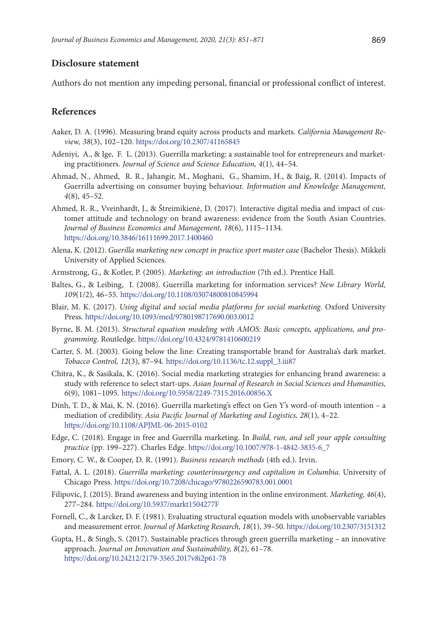#### **Disclosure statement**

Authors do not mention any impeding personal, financial or professional conflict of interest.

## **References**

- Aaker, D. A. (1996). Measuring brand equity across products and markets. *California Management Review, 38*(3), 102–120. <https://doi.org/10.2307/41165845>
- Adeniyi, A., & Ige, F. L. (2013). Guerrilla marketing: a sustainable tool for entrepreneurs and marketing practitioners. *Journal of Science and Science Education, 4*(1), 44–54.
- Ahmad, N., Ahmed, R. R., Jahangir, M., Moghani, G., Shamim, H., & Baig, R. (2014). Impacts of Guerrilla advertising on consumer buying behaviour. *Information and Knowledge Management, 4*(8), 45–52.
- Ahmed, R. R., Vveinhardt, J., & Štreimikienė, D. (2017). Interactive digital media and impact of customer attitude and technology on brand awareness: evidence from the South Asian Countries. *Journal of Business Economics and Management, 18*(6), 1115–1134. <https://doi.org/10.3846/16111699.2017.1400460>
- Alena, K. (2012). *Guerilla marketing new concept in practice sport master case* (Bachelor Thesis). Mikkeli University of Applied Sciences.
- Armstrong, G., & Kotler, P. (2005). *Marketing: an introduction* (7th ed.). Prentice Hall.
- Baltes, G., & Leibing, I. (2008). Guerrilla marketing for information services? *New Library World, 109*(1/2), 46–55. <https://doi.org/10.1108/03074800810845994>
- Blair, M. K. (2017). *Using digital and social media platforms for social marketing*. Oxford University Press. <https://doi.org/10.1093/med/9780198717690.003.0012>
- Byrne, B. M. (2013). *Structural equation modeling with AMOS: Basic concepts, applications, and programming*. Routledge. <https://doi.org/10.4324/9781410600219>
- Carter, S. M. (2003). Going below the line: Creating transportable brand for Australia's dark market. *Tobacco Control, 12*(3), 87–94. [https://doi.org/10.1136/tc.12.suppl\\_3.iii87](https://doi.org/10.1136/tc.12.suppl_3.iii87)
- Chitra, K., & Sasikala, K. (2016). Social media marketing strategies for enhancing brand awareness: a study with reference to select start-ups. *Asian Journal of Research in Social Sciences and Humanities, 6*(9), 1081–1095. <https://doi.org/10.5958/2249-7315.2016.00856.X>
- Dinh, T. D., & Mai, K. N. (2016). Guerrilla marketing's effect on Gen Y's word-of-mouth intention a mediation of credibility. *Asia Pacific Journal of Marketing and Logistics, 28*(1), 4–22. <https://doi.org/10.1108/APJML-06-2015-0102>
- Edge, C. (2018). Engage in free and Guerrilla marketing. In *Build, run, and sell your apple consulting practice* (pp. 199–227). Charles Edge. [https://doi.org/10.1007/978-1-4842-3835-6\\_7](https://doi.org/10.1007/978-1-4842-3835-6_7)
- Emory, C. W., & Cooper, D. R. (1991). *Business research methods* (4th ed.). Irvin.
- Fattal, A. L. (2018). *Guerrilla marketing: counterinsurgency and capitalism in Columbia*. University of Chicago Press. <https://doi.org/10.7208/chicago/9780226590783.001.0001>
- Filipovic, J. (2015). Brand awareness and buying intention in the online environment. *Marketing, 46*(4), 277–284. <https://doi.org/10.5937/markt1504277F>
- Fornell, C., & Larcker, D. F. (1981). Evaluating structural equation models with unobservable variables and measurement error. *Journal of Marketing Research, 18*(1), 39–50.<https://doi.org/10.2307/3151312>
- Gupta, H., & Singh, S. (2017). Sustainable practices through green guerrilla marketing an innovative approach. *Journal on Innovation and Sustainability, 8*(2), 61–78. <https://doi.org/10.24212/2179-3565.2017v8i2p61-78>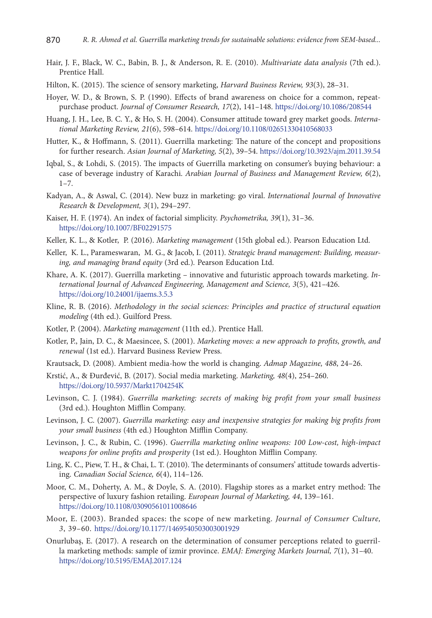- Hair, J. F., Black, W. C., Babin, B. J., & Anderson, R. E. (2010). *Multivariate data analysis* (7th ed.). Prentice Hall.
- Hilton, K. (2015). The science of sensory marketing, *Harvard Business Review, 93*(3), 28–31.
- Hoyer, W. D., & Brown, S. P. (1990). Effects of brand awareness on choice for a common, repeatpurchase product. *Journal of Consumer Research, 17*(2), 141–148. <https://doi.org/10.1086/208544>
- Huang, J. H., Lee, B. C. Y., & Ho, S. H. (2004). Consumer attitude toward grey market goods. *International Marketing Review, 21*(6), 598–614. <https://doi.org/10.1108/02651330410568033>
- Hutter, K., & Hoffmann, S. (2011). Guerrilla marketing: The nature of the concept and propositions for further research. *Asian Journal of Marketing, 5*(2), 39–54. <https://doi.org/10.3923/ajm.2011.39.54>
- Iqbal, S., & Lohdi, S. (2015). The impacts of Guerrilla marketing on consumer's buying behaviour: a case of beverage industry of Karachi. *Arabian Journal of Business and Management Review, 6*(2),  $1 - 7$ .
- Kadyan, A., & Aswal, C. (2014). New buzz in marketing: go viral. *International Journal of Innovative Research* & *Development, 3*(1), 294–297.
- Kaiser, H. F. (1974). An index of factorial simplicity. *Psychometrika, 39*(1), 31–36. <https://doi.org/10.1007/BF02291575>
- Keller, K. L., & Kotler, P. (2016). *Marketing management* (15th global ed.). Pearson Education Ltd.
- Keller, K. L., Parameswaran, M. G., & Jacob, I. (2011). *Strategic brand management: Building, measuring, and managing brand equity* (3rd ed*.*)*.* Pearson Education Ltd.
- Khare, A. K. (2017). Guerrilla marketing innovative and futuristic approach towards marketing. *International Journal of Advanced Engineering, Management and Science, 3*(5), 421–426. <https://doi.org/10.24001/ijaems.3.5.3>
- Kline, R. B. (2016). *Methodology in the social sciences: Principles and practice of structural equation modeling* (4th ed.). Guilford Press.
- Kotler, P. (2004). *Marketing management* (11th ed.). Prentice Hall.
- Kotler, P., Jain, D. C., & Maesincee, S. (2001). *Marketing moves: a new approach to profits, growth, and renewal* (1st ed.). Harvard Business Review Press.
- Krautsack, D. (2008). Ambient media-how the world is changing. *Admap Magazine, 488*, 24–26.
- Krstić, A., & Đurđević, B. (2017). Social media marketing. *Marketing, 48*(4), 254–260. <https://doi.org/10.5937/Markt1704254K>
- Levinson, C. J. (1984). *Guerrilla marketing: secrets of making big profit from your small business* (3rd ed.). Houghton Mifflin Company.
- Levinson, J. C. (2007). *Guerrilla marketing: easy and inexpensive strategies for making big profits from your small business* (4th ed.) Houghton Mifflin Company.
- Levinson, J. C., & Rubin, C. (1996). *Guerrilla marketing online weapons: 100 Low-cost, high-impact weapons for online profits and prosperity* (1st ed.). Houghton Mifflin Company.
- Ling, K. C., Piew, T. H., & Chai, L. T. (2010). The determinants of consumers' attitude towards advertising. *Canadian Social Science, 6*(4), 114–126.
- Moor, C. M., Doherty, A. M., & Doyle, S. A. (2010). Flagship stores as a market entry method: The perspective of luxury fashion retailing. *European Journal of Marketing, 44*, 139–161. <https://doi.org/10.1108/03090561011008646>
- Moor, E. (2003). Branded spaces: the scope of new marketing. *Journal of Consumer Culture, 3*, 39–60. <https://doi.org/10.1177/1469540503003001929>
- Onurlubaş, E. (2017). A research on the determination of consumer perceptions related to guerrilla marketing methods: sample of izmir province. *EMAJ: Emerging Markets Journal, 7*(1), 31–40. <https://doi.org/10.5195/EMAJ.2017.124>